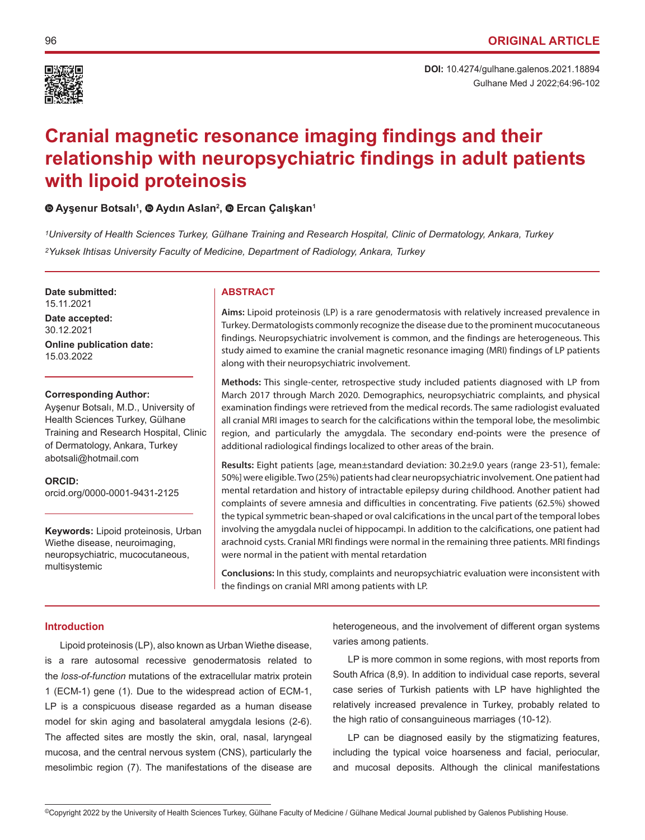

# **Cranial magnetic resonance imaging findings and their relationship with neuropsychiatric findings in adult patients with lipoid proteinosis**

# **Ayşenur Botsalı<sup>1</sup> ,Aydın Aslan<sup>2</sup> ,Ercan Çalışkan<sup>1</sup>**

*1University of Health Sciences Turkey, Gülhane Training and Research Hospital, Clinic of Dermatology, Ankara, Turkey 2Yuksek Ihtisas University Faculty of Medicine, Department of Radiology, Ankara, Turkey*

**Date submitted: ABSTRACT** 

15.11.2021

**Date accepted:** 30.12.2021

**Online publication date:** 15.03.2022

# **Corresponding Author:**

Ayşenur Botsalı, M.D., University of Health Sciences Turkey, Gülhane Training and Research Hospital, Clinic of Dermatology, Ankara, Turkey abotsali@hotmail.com

**ORCID:**  orcid.org/0000-0001-9431-2125

**Keywords:** Lipoid proteinosis, Urban Wiethe disease, neuroimaging, neuropsychiatric, mucocutaneous, multisystemic

**Aims:** Lipoid proteinosis (LP) is a rare genodermatosis with relatively increased prevalence in Turkey. Dermatologists commonly recognize the disease due to the prominent mucocutaneous findings. Neuropsychiatric involvement is common, and the findings are heterogeneous. This study aimed to examine the cranial magnetic resonance imaging (MRI) findings of LP patients along with their neuropsychiatric involvement.

**Methods:** This single-center, retrospective study included patients diagnosed with LP from March 2017 through March 2020. Demographics, neuropsychiatric complaints, and physical examination findings were retrieved from the medical records. The same radiologist evaluated all cranial MRI images to search for the calcifications within the temporal lobe, the mesolimbic region, and particularly the amygdala. The secondary end-points were the presence of additional radiological findings localized to other areas of the brain.

**Results:** Eight patients [age, mean±standard deviation: 30.2±9.0 years (range 23-51), female: 50%] were eligible. Two (25%) patients had clear neuropsychiatric involvement. One patient had mental retardation and history of intractable epilepsy during childhood. Another patient had complaints of severe amnesia and difficulties in concentrating. Five patients (62.5%) showed the typical symmetric bean-shaped or oval calcifications in the uncal part of the temporal lobes involving the amygdala nuclei of hippocampi. In addition to the calcifications, one patient had arachnoid cysts. Cranial MRI findings were normal in the remaining three patients. MRI findings were normal in the patient with mental retardation

**Conclusions:** In this study, complaints and neuropsychiatric evaluation were inconsistent with the findings on cranial MRI among patients with LP.

# **Introduction**

Lipoid proteinosis (LP), also known as Urban Wiethe disease, is a rare autosomal recessive genodermatosis related to the *loss-of-function* mutations of the extracellular matrix protein 1 (ECM-1) gene (1). Due to the widespread action of ECM-1, LP is a conspicuous disease regarded as a human disease model for skin aging and basolateral amygdala lesions (2-6). The affected sites are mostly the skin, oral, nasal, laryngeal mucosa, and the central nervous system (CNS), particularly the mesolimbic region (7). The manifestations of the disease are

heterogeneous, and the involvement of different organ systems varies among patients.

LP is more common in some regions, with most reports from South Africa (8,9). In addition to individual case reports, several case series of Turkish patients with LP have highlighted the relatively increased prevalence in Turkey, probably related to the high ratio of consanguineous marriages (10-12).

LP can be diagnosed easily by the stigmatizing features, including the typical voice hoarseness and facial, periocular, and mucosal deposits. Although the clinical manifestations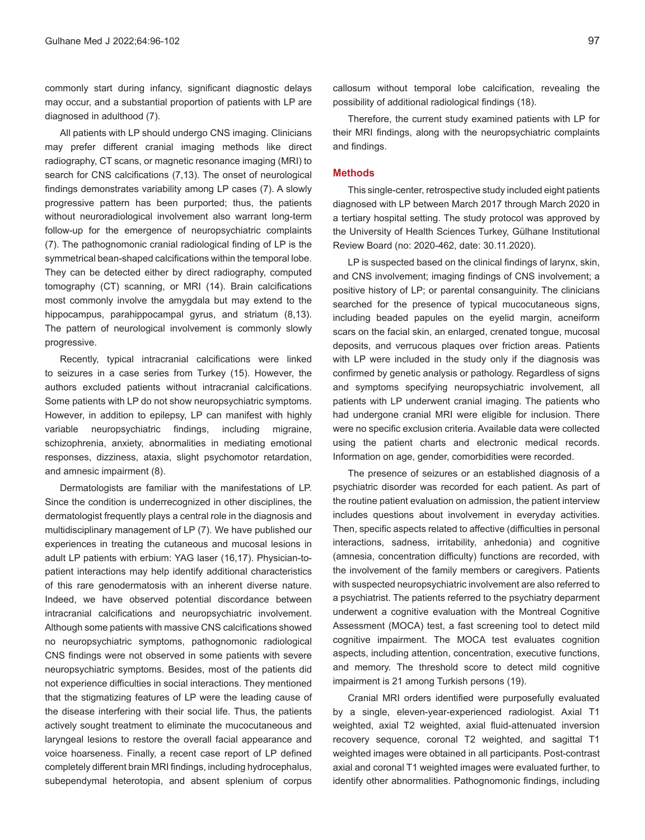commonly start during infancy, significant diagnostic delays may occur, and a substantial proportion of patients with LP are diagnosed in adulthood (7).

All patients with LP should undergo CNS imaging. Clinicians may prefer different cranial imaging methods like direct radiography, CT scans, or magnetic resonance imaging (MRI) to search for CNS calcifications (7,13). The onset of neurological findings demonstrates variability among LP cases (7). A slowly progressive pattern has been purported; thus, the patients without neuroradiological involvement also warrant long-term follow-up for the emergence of neuropsychiatric complaints (7). The pathognomonic cranial radiological finding of LP is the symmetrical bean-shaped calcifications within the temporal lobe. They can be detected either by direct radiography, computed tomography (CT) scanning, or MRI (14). Brain calcifications most commonly involve the amygdala but may extend to the hippocampus, parahippocampal gyrus, and striatum (8,13). The pattern of neurological involvement is commonly slowly progressive.

Recently, typical intracranial calcifications were linked to seizures in a case series from Turkey (15). However, the authors excluded patients without intracranial calcifications. Some patients with LP do not show neuropsychiatric symptoms. However, in addition to epilepsy, LP can manifest with highly variable neuropsychiatric findings, including migraine, schizophrenia, anxiety, abnormalities in mediating emotional responses, dizziness, ataxia, slight psychomotor retardation, and amnesic impairment (8).

Dermatologists are familiar with the manifestations of LP. Since the condition is underrecognized in other disciplines, the dermatologist frequently plays a central role in the diagnosis and multidisciplinary management of LP (7). We have published our experiences in treating the cutaneous and mucosal lesions in adult LP patients with erbium: YAG laser (16,17). Physician-topatient interactions may help identify additional characteristics of this rare genodermatosis with an inherent diverse nature. Indeed, we have observed potential discordance between intracranial calcifications and neuropsychiatric involvement. Although some patients with massive CNS calcifications showed no neuropsychiatric symptoms, pathognomonic radiological CNS findings were not observed in some patients with severe neuropsychiatric symptoms. Besides, most of the patients did not experience difficulties in social interactions. They mentioned that the stigmatizing features of LP were the leading cause of the disease interfering with their social life. Thus, the patients actively sought treatment to eliminate the mucocutaneous and laryngeal lesions to restore the overall facial appearance and voice hoarseness. Finally, a recent case report of LP defined completely different brain MRI findings, including hydrocephalus, subependymal heterotopia, and absent splenium of corpus

callosum without temporal lobe calcification, revealing the possibility of additional radiological findings (18).

Therefore, the current study examined patients with LP for their MRI findings, along with the neuropsychiatric complaints and findings.

# **Methods**

This single-center, retrospective study included eight patients diagnosed with LP between March 2017 through March 2020 in a tertiary hospital setting. The study protocol was approved by the University of Health Sciences Turkey, Gülhane Institutional Review Board (no: 2020-462, date: 30.11.2020).

LP is suspected based on the clinical findings of larynx, skin, and CNS involvement; imaging findings of CNS involvement; a positive history of LP; or parental consanguinity. The clinicians searched for the presence of typical mucocutaneous signs, including beaded papules on the eyelid margin, acneiform scars on the facial skin, an enlarged, crenated tongue, mucosal deposits, and verrucous plaques over friction areas. Patients with LP were included in the study only if the diagnosis was confirmed by genetic analysis or pathology. Regardless of signs and symptoms specifying neuropsychiatric involvement, all patients with LP underwent cranial imaging. The patients who had undergone cranial MRI were eligible for inclusion. There were no specific exclusion criteria. Available data were collected using the patient charts and electronic medical records. Information on age, gender, comorbidities were recorded.

The presence of seizures or an established diagnosis of a psychiatric disorder was recorded for each patient. As part of the routine patient evaluation on admission, the patient interview includes questions about involvement in everyday activities. Then, specific aspects related to affective (difficulties in personal interactions, sadness, irritability, anhedonia) and cognitive (amnesia, concentration difficulty) functions are recorded, with the involvement of the family members or caregivers. Patients with suspected neuropsychiatric involvement are also referred to a psychiatrist. The patients referred to the psychiatry deparment underwent a cognitive evaluation with the Montreal Cognitive Assessment (MOCA) test, a fast screening tool to detect mild cognitive impairment. The MOCA test evaluates cognition aspects, including attention, concentration, executive functions, and memory. The threshold score to detect mild cognitive impairment is 21 among Turkish persons (19).

Cranial MRI orders identified were purposefully evaluated by a single, eleven-year-experienced radiologist. Axial T1 weighted, axial T2 weighted, axial fluid-attenuated inversion recovery sequence, coronal T2 weighted, and sagittal T1 weighted images were obtained in all participants. Post-contrast axial and coronal T1 weighted images were evaluated further, to identify other abnormalities. Pathognomonic findings, including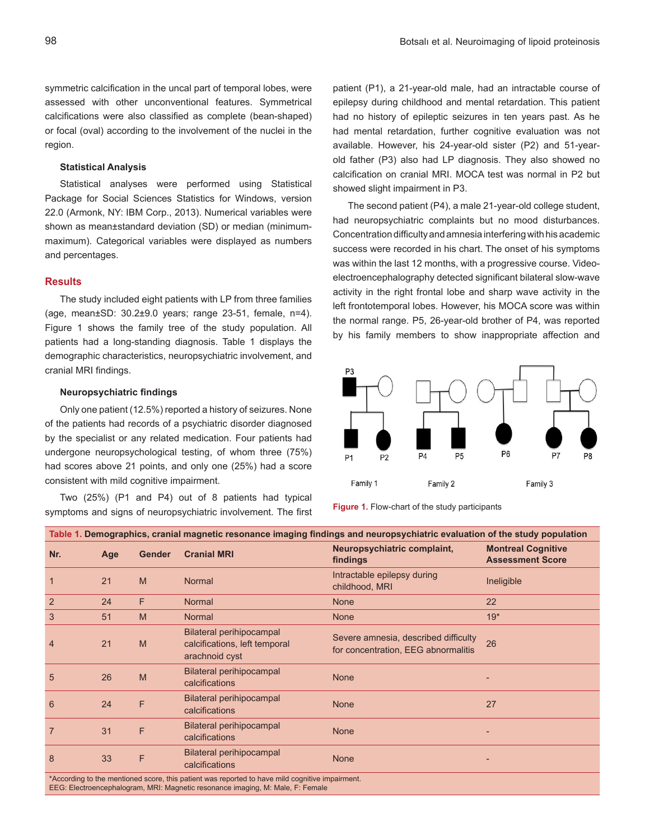symmetric calcification in the uncal part of temporal lobes, were assessed with other unconventional features. Symmetrical calcifications were also classified as complete (bean-shaped) or focal (oval) according to the involvement of the nuclei in the region.

## **Statistical Analysis**

Statistical analyses were performed using Statistical Package for Social Sciences Statistics for Windows, version 22.0 (Armonk, NY: IBM Corp., 2013). Numerical variables were shown as mean±standard deviation (SD) or median (minimummaximum). Categorical variables were displayed as numbers and percentages.

# **Results**

The study included eight patients with LP from three families (age, mean±SD: 30.2±9.0 years; range 23-51, female, n=4). Figure 1 shows the family tree of the study population. All patients had a long-standing diagnosis. Table 1 displays the demographic characteristics, neuropsychiatric involvement, and cranial MRI findings.

# **Neuropsychiatric findings**

Only one patient (12.5%) reported a history of seizures. None of the patients had records of a psychiatric disorder diagnosed by the specialist or any related medication. Four patients had undergone neuropsychological testing, of whom three (75%) had scores above 21 points, and only one (25%) had a score consistent with mild cognitive impairment.

Two (25%) (P1 and P4) out of 8 patients had typical symptoms and signs of neuropsychiatric involvement. The first patient (P1), a 21-year-old male, had an intractable course of epilepsy during childhood and mental retardation. This patient had no history of epileptic seizures in ten years past. As he had mental retardation, further cognitive evaluation was not available. However, his 24-year-old sister (P2) and 51-yearold father (P3) also had LP diagnosis. They also showed no calcification on cranial MRI. MOCA test was normal in P2 but showed slight impairment in P3.

The second patient (P4), a male 21-year-old college student, had neuropsychiatric complaints but no mood disturbances. Concentration difficulty and amnesia interfering with his academic success were recorded in his chart. The onset of his symptoms was within the last 12 months, with a progressive course. Videoelectroencephalography detected significant bilateral slow-wave activity in the right frontal lobe and sharp wave activity in the left frontotemporal lobes. However, his MOCA score was within the normal range. P5, 26-year-old brother of P4, was reported by his family members to show inappropriate affection and



**Figure 1.** Flow-chart of the study participants

| Table 1. Demographics, cranial magnetic resonance imaging findings and neuropsychiatric evaluation of the study population                                                        |     |               |                                                                             |                                                                             |                                                      |
|-----------------------------------------------------------------------------------------------------------------------------------------------------------------------------------|-----|---------------|-----------------------------------------------------------------------------|-----------------------------------------------------------------------------|------------------------------------------------------|
| Nr.                                                                                                                                                                               | Age | <b>Gender</b> | <b>Cranial MRI</b>                                                          | Neuropsychiatric complaint,<br>findings                                     | <b>Montreal Cognitive</b><br><b>Assessment Score</b> |
|                                                                                                                                                                                   | 21  | M             | <b>Normal</b>                                                               | Intractable epilepsy during<br>childhood, MRI                               | Ineligible                                           |
| 2                                                                                                                                                                                 | 24  | F             | <b>Normal</b>                                                               | <b>None</b>                                                                 | 22                                                   |
| 3                                                                                                                                                                                 | 51  | M             | Normal                                                                      | <b>None</b>                                                                 | $19*$                                                |
| $\overline{4}$                                                                                                                                                                    | 21  | M             | Bilateral perihipocampal<br>calcifications, left temporal<br>arachnoid cyst | Severe amnesia, described difficulty<br>for concentration, EEG abnormalitis | 26                                                   |
| 5                                                                                                                                                                                 | 26  | M             | <b>Bilateral perihipocampal</b><br>calcifications                           | <b>None</b>                                                                 |                                                      |
| 6                                                                                                                                                                                 | 24  | F.            | Bilateral perihipocampal<br>calcifications                                  | <b>None</b>                                                                 | 27                                                   |
| $\overline{7}$                                                                                                                                                                    | 31  | F             | Bilateral perihipocampal<br>calcifications                                  | <b>None</b>                                                                 |                                                      |
| 8                                                                                                                                                                                 | 33  | F             | Bilateral perihipocampal<br>calcifications                                  | <b>None</b>                                                                 |                                                      |
| *According to the mentioned score, this patient was reported to have mild cognitive impairment.<br>EEG: Electroencephalogram, MRI: Magnetic resonance imaging, M: Male, F: Female |     |               |                                                                             |                                                                             |                                                      |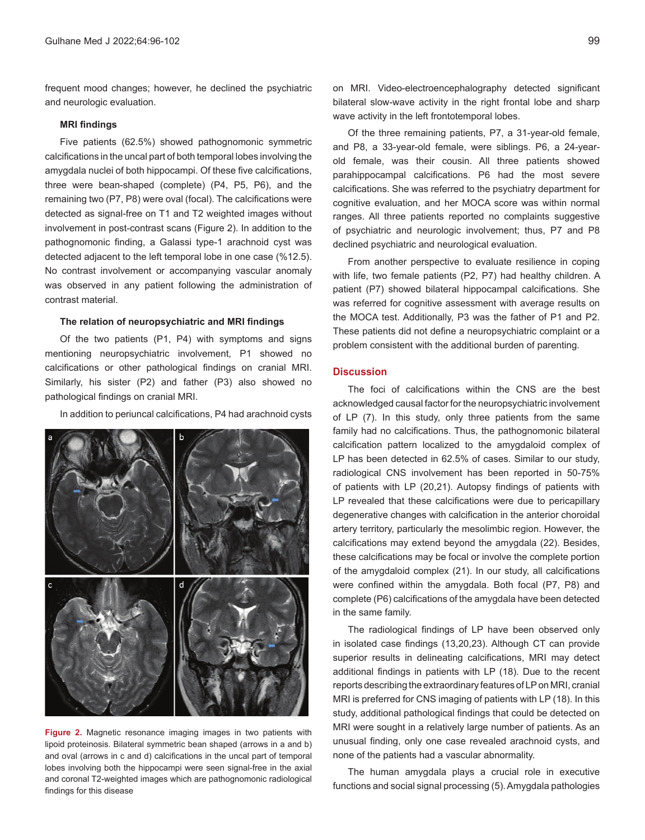frequent mood changes; however, he declined the psychiatric and neurologic evaluation.

# **MRI findings**

Five patients (62.5%) showed pathognomonic symmetric calcifications in the uncal part of both temporal lobes involving the amygdala nuclei of both hippocampi. Of these five calcifications, three were bean-shaped (complete) (P4, P5, P6), and the remaining two (P7, P8) were oval (focal). The calcifications were detected as signal-free on T1 and T2 weighted images without involvement in post-contrast scans (Figure 2). In addition to the pathognomonic finding, a Galassi type-1 arachnoid cyst was detected adjacent to the left temporal lobe in one case (%12.5). No contrast involvement or accompanying vascular anomaly was observed in any patient following the administration of contrast material.

#### **The relation of neuropsychiatric and MRI findings**

Of the two patients (P1, P4) with symptoms and signs mentioning neuropsychiatric involvement, P1 showed no calcifications or other pathological findings on cranial MRI. Similarly, his sister (P2) and father (P3) also showed no pathological findings on cranial MRI.

In addition to periuncal calcifications, P4 had arachnoid cysts



**Figure 2.** Magnetic resonance imaging images in two patients with lipoid proteinosis. Bilateral symmetric bean shaped (arrows in a and b) and oval (arrows in c and d) calcifications in the uncal part of temporal lobes involving both the hippocampi were seen signal-free in the axial and coronal T2-weighted images which are pathognomonic radiological findings for this disease

on MRI. Video-electroencephalography detected significant bilateral slow-wave activity in the right frontal lobe and sharp wave activity in the left frontotemporal lobes.

Of the three remaining patients, P7, a 31-year-old female, and P8, a 33-year-old female, were siblings. P6, a 24-yearold female, was their cousin. All three patients showed parahippocampal calcifications. P6 had the most severe calcifications. She was referred to the psychiatry department for cognitive evaluation, and her MOCA score was within normal ranges. All three patients reported no complaints suggestive of psychiatric and neurologic involvement; thus, P7 and P8 declined psychiatric and neurological evaluation.

From another perspective to evaluate resilience in coping with life, two female patients (P2, P7) had healthy children. A patient (P7) showed bilateral hippocampal calcifications. She was referred for cognitive assessment with average results on the MOCA test. Additionally, P3 was the father of P1 and P2. These patients did not define a neuropsychiatric complaint or a problem consistent with the additional burden of parenting.

# **Discussion**

The foci of calcifications within the CNS are the best acknowledged causal factor for the neuropsychiatric involvement of LP (7). In this study, only three patients from the same family had no calcifications. Thus, the pathognomonic bilateral calcification pattern localized to the amygdaloid complex of LP has been detected in 62.5% of cases. Similar to our study, radiological CNS involvement has been reported in 50-75% of patients with LP (20,21). Autopsy findings of patients with LP revealed that these calcifications were due to pericapillary degenerative changes with calcification in the anterior choroidal artery territory, particularly the mesolimbic region. However, the calcifications may extend beyond the amygdala (22). Besides, these calcifications may be focal or involve the complete portion of the amygdaloid complex (21). In our study, all calcifications were confined within the amygdala. Both focal (P7, P8) and complete (P6) calcifications of the amygdala have been detected in the same family.

The radiological findings of LP have been observed only in isolated case findings (13,20,23). Although CT can provide superior results in delineating calcifications, MRI may detect additional findings in patients with LP (18). Due to the recent reports describing the extraordinary features of LP on MRI, cranial MRI is preferred for CNS imaging of patients with LP (18). In this study, additional pathological findings that could be detected on MRI were sought in a relatively large number of patients. As an unusual finding, only one case revealed arachnoid cysts, and none of the patients had a vascular abnormality.

The human amygdala plays a crucial role in executive functions and social signal processing (5). Amygdala pathologies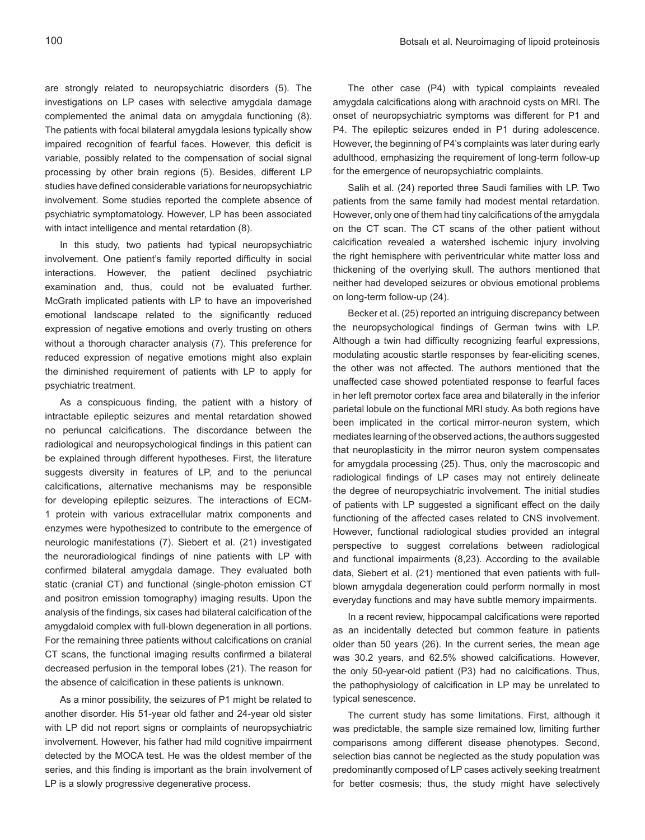are strongly related to neuropsychiatric disorders (5). The investigations on LP cases with selective amygdala damage complemented the animal data on amygdala functioning (8). The patients with focal bilateral amygdala lesions typically show impaired recognition of fearful faces. However, this deficit is variable, possibly related to the compensation of social signal processing by other brain regions (5). Besides, different LP studies have defined considerable variations for neuropsychiatric involvement. Some studies reported the complete absence of psychiatric symptomatology. However, LP has been associated with intact intelligence and mental retardation (8).

In this study, two patients had typical neuropsychiatric involvement. One patient's family reported difficulty in social interactions. However, the patient declined psychiatric examination and, thus, could not be evaluated further. McGrath implicated patients with LP to have an impoverished emotional landscape related to the significantly reduced expression of negative emotions and overly trusting on others without a thorough character analysis (7). This preference for reduced expression of negative emotions might also explain the diminished requirement of patients with LP to apply for psychiatric treatment.

As a conspicuous finding, the patient with a history of intractable epileptic seizures and mental retardation showed no periuncal calcifications. The discordance between the radiological and neuropsychological findings in this patient can be explained through different hypotheses. First, the literature suggests diversity in features of LP, and to the periuncal calcifications, alternative mechanisms may be responsible for developing epileptic seizures. The interactions of ECM-1 protein with various extracellular matrix components and enzymes were hypothesized to contribute to the emergence of neurologic manifestations (7). Siebert et al. (21) investigated the neuroradiological findings of nine patients with LP with confirmed bilateral amygdala damage. They evaluated both static (cranial CT) and functional (single-photon emission CT and positron emission tomography) imaging results. Upon the analysis of the findings, six cases had bilateral calcification of the amygdaloid complex with full-blown degeneration in all portions. For the remaining three patients without calcifications on cranial CT scans, the functional imaging results confirmed a bilateral decreased perfusion in the temporal lobes (21). The reason for the absence of calcification in these patients is unknown.

As a minor possibility, the seizures of P1 might be related to another disorder. His 51-year old father and 24-year old sister with LP did not report signs or complaints of neuropsychiatric involvement. However, his father had mild cognitive impairment detected by the MOCA test. He was the oldest member of the series, and this finding is important as the brain involvement of LP is a slowly progressive degenerative process.

The other case (P4) with typical complaints revealed amygdala calcifications along with arachnoid cysts on MRI. The onset of neuropsychiatric symptoms was different for P1 and P4. The epileptic seizures ended in P1 during adolescence. However, the beginning of P4's complaints was later during early adulthood, emphasizing the requirement of long-term follow-up for the emergence of neuropsychiatric complaints.

Salih et al. (24) reported three Saudi families with LP. Two patients from the same family had modest mental retardation. However, only one of them had tiny calcifications of the amygdala on the CT scan. The CT scans of the other patient without calcification revealed a watershed ischemic injury involving the right hemisphere with periventricular white matter loss and thickening of the overlying skull. The authors mentioned that neither had developed seizures or obvious emotional problems on long-term follow-up (24).

Becker et al. (25) reported an intriguing discrepancy between the neuropsychological findings of German twins with LP. Although a twin had difficulty recognizing fearful expressions, modulating acoustic startle responses by fear-eliciting scenes, the other was not affected. The authors mentioned that the unaffected case showed potentiated response to fearful faces in her left premotor cortex face area and bilaterally in the inferior parietal lobule on the functional MRI study. As both regions have been implicated in the cortical mirror-neuron system, which mediates learning of the observed actions, the authors suggested that neuroplasticity in the mirror neuron system compensates for amygdala processing (25). Thus, only the macroscopic and radiological findings of LP cases may not entirely delineate the degree of neuropsychiatric involvement. The initial studies of patients with LP suggested a significant effect on the daily functioning of the affected cases related to CNS involvement. However, functional radiological studies provided an integral perspective to suggest correlations between radiological and functional impairments (8,23). According to the available data, Siebert et al. (21) mentioned that even patients with fullblown amygdala degeneration could perform normally in most everyday functions and may have subtle memory impairments.

In a recent review, hippocampal calcifications were reported as an incidentally detected but common feature in patients older than 50 years (26). In the current series, the mean age was 30.2 years, and 62.5% showed calcifications. However, the only 50-year-old patient (P3) had no calcifications. Thus, the pathophysiology of calcification in LP may be unrelated to typical senescence.

The current study has some limitations. First, although it was predictable, the sample size remained low, limiting further comparisons among different disease phenotypes. Second, selection bias cannot be neglected as the study population was predominantly composed of LP cases actively seeking treatment for better cosmesis; thus, the study might have selectively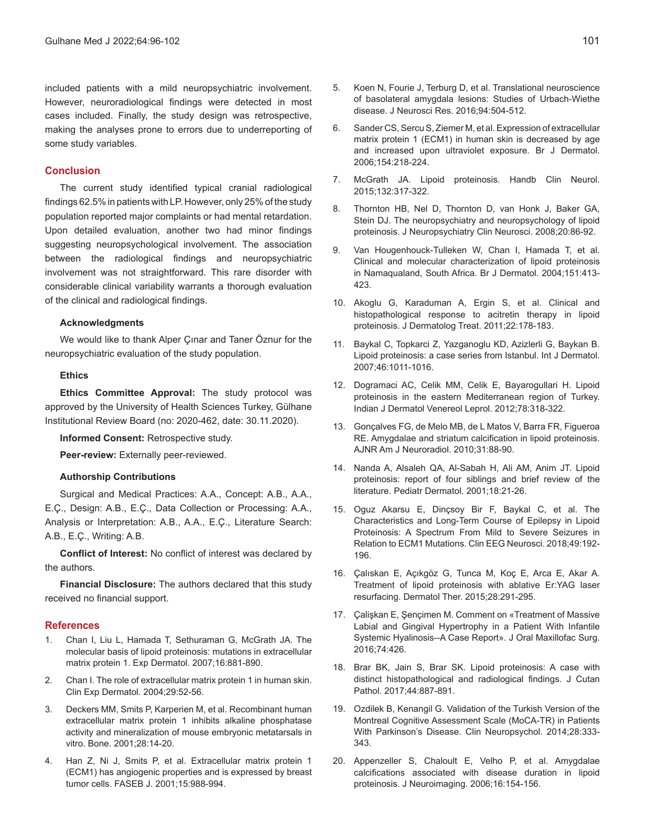included patients with a mild neuropsychiatric involvement. However, neuroradiological findings were detected in most cases included. Finally, the study design was retrospective, making the analyses prone to errors due to underreporting of some study variables.

### **Conclusion**

The current study identified typical cranial radiological findings 62.5% in patients with LP. However, only 25% of the study population reported major complaints or had mental retardation. Upon detailed evaluation, another two had minor findings suggesting neuropsychological involvement. The association between the radiological findings and neuropsychiatric involvement was not straightforward. This rare disorder with considerable clinical variability warrants a thorough evaluation of the clinical and radiological findings.

### **Acknowledgments**

We would like to thank Alper Çınar and Taner Öznur for the neuropsychiatric evaluation of the study population.

### **Ethics**

**Ethics Committee Approval:** The study protocol was approved by the University of Health Sciences Turkey, Gülhane Institutional Review Board (no: 2020-462, date: 30.11.2020).

**Informed Consent:** Retrospective study.

**Peer-review:** Externally peer-reviewed.

### **Authorship Contributions**

Surgical and Medical Practices: A.A., Concept: A.B., A.A., E.Ç., Design: A.B., E.Ç., Data Collection or Processing: A.A., Analysis or Interpretation: A.B., A.A., E.Ç., Literature Search: A.B., E.Ç., Writing: A.B.

**Conflict of Interest:** No conflict of interest was declared by the authors.

**Financial Disclosure:** The authors declared that this study received no financial support.

#### **References**

- 1. Chan I, Liu L, Hamada T, Sethuraman G, McGrath JA. The molecular basis of lipoid proteinosis: mutations in extracellular matrix protein 1. Exp Dermatol. 2007;16:881-890.
- 2. Chan I. The role of extracellular matrix protein 1 in human skin. Clin Exp Dermatol. 2004;29:52-56.
- 3. Deckers MM, Smits P, Karperien M, et al. Recombinant human extracellular matrix protein 1 inhibits alkaline phosphatase activity and mineralization of mouse embryonic metatarsals in vitro. Bone. 2001;28:14-20.
- 4. Han Z, Ni J, Smits P, et al. Extracellular matrix protein 1 (ECM1) has angiogenic properties and is expressed by breast tumor cells. FASEB J. 2001;15:988-994.
- 5. Koen N, Fourie J, Terburg D, et al. Translational neuroscience of basolateral amygdala lesions: Studies of Urbach-Wiethe disease. J Neurosci Res. 2016;94:504-512.
- 6. Sander CS, Sercu S, Ziemer M, et al. Expression of extracellular matrix protein 1 (ECM1) in human skin is decreased by age and increased upon ultraviolet exposure. Br J Dermatol. 2006;154:218-224.
- 7. McGrath JA. Lipoid proteinosis. Handb Clin Neurol. 2015;132:317-322.
- 8. Thornton HB, Nel D, Thornton D, van Honk J, Baker GA, Stein DJ. The neuropsychiatry and neuropsychology of lipoid proteinosis. J Neuropsychiatry Clin Neurosci. 2008;20:86-92.
- 9. Van Hougenhouck-Tulleken W, Chan I, Hamada T, et al. Clinical and molecular characterization of lipoid proteinosis in Namaqualand, South Africa. Br J Dermatol. 2004;151:413- 423.
- 10. Akoglu G, Karaduman A, Ergin S, et al. Clinical and histopathological response to acitretin therapy in lipoid proteinosis. J Dermatolog Treat. 2011;22:178-183.
- 11. Baykal C, Topkarci Z, Yazganoglu KD, Azizlerli G, Baykan B. Lipoid proteinosis: a case series from Istanbul. Int J Dermatol. 2007;46:1011-1016.
- 12. Dogramaci AC, Celik MM, Celik E, Bayarogullari H. Lipoid proteinosis in the eastern Mediterranean region of Turkey. Indian J Dermatol Venereol Leprol. 2012;78:318-322.
- 13. Gonçalves FG, de Melo MB, de L Matos V, Barra FR, Figueroa RE. Amygdalae and striatum calcification in lipoid proteinosis. AJNR Am J Neuroradiol. 2010;31:88-90.
- 14. Nanda A, Alsaleh QA, Al-Sabah H, Ali AM, Anim JT. Lipoid proteinosis: report of four siblings and brief review of the literature. Pediatr Dermatol. 2001;18:21-26.
- 15. Oguz Akarsu E, Dinçsoy Bir F, Baykal C, et al. The Characteristics and Long-Term Course of Epilepsy in Lipoid Proteinosis: A Spectrum From Mild to Severe Seizures in Relation to ECM1 Mutations. Clin EEG Neurosci. 2018;49:192- 196.
- 16. Çalıskan E, Açıkgöz G, Tunca M, Koç E, Arca E, Akar A. Treatment of lipoid proteinosis with ablative Er:YAG laser resurfacing. Dermatol Ther. 2015;28:291-295.
- 17. Çalişkan E, Şençimen M. Comment on «Treatment of Massive Labial and Gingival Hypertrophy in a Patient With Infantile Systemic Hyalinosis--A Case Report». J Oral Maxillofac Surg. 2016;74:426.
- 18. Brar BK, Jain S, Brar SK. Lipoid proteinosis: A case with distinct histopathological and radiological findings. J Cutan Pathol. 2017;44:887-891.
- 19. Ozdilek B, Kenangil G. Validation of the Turkish Version of the Montreal Cognitive Assessment Scale (MoCA-TR) in Patients With Parkinson's Disease. Clin Neuropsychol. 2014;28:333- 343.
- 20. Appenzeller S, Chaloult E, Velho P, et al. Amygdalae calcifications associated with disease duration in lipoid proteinosis. J Neuroimaging. 2006;16:154-156.